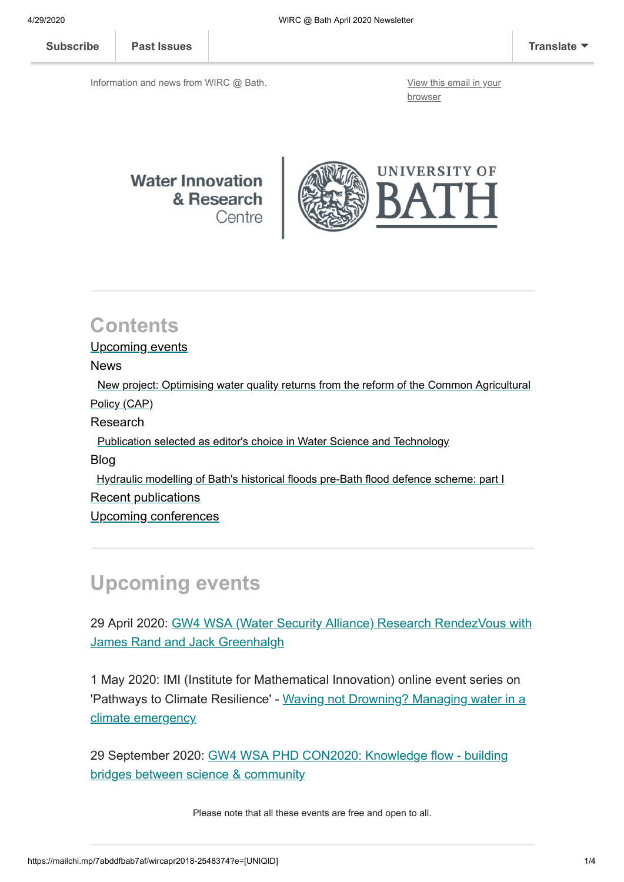**[Subscribe](http://eepurl.com/bKjQGL) [Past Issues](https://us12.campaign-archive.com/home/?u=d7614ea34eb388bb6f0caa07a&id=d688d5b543) [Translate](javascript:;)**

Information and news from WIRC @ Bath. [View this email in your](https://mailchi.mp/7abddfbab7af/wircapr2018-2548374?e=[UNIQID])

browser



### **Contents**

Upcoming events

News

 [New project: Optimising water quality returns from the reform of the Common Agricultural](#page-1-0) Policy (CAP)

Research

[Publication selected as editor's choice in Water Science and Technology](#page-1-1)

Blog

 [Hydraulic modelling of Bath's historical floods pre-Bath flood defence scheme: part I](#page-2-0) Recent publications

[Upcoming conferences](#page-3-0)

# **Upcoming events**

[29 April 2020: GW4 WSA \(Water Security Alliance\) Research RendezVous with](https://www.gw4water.com/events/upcoming-events/) James Rand and Jack Greenhalgh

1 May 2020: IMI (Institute for Mathematical Innovation) online event series on ['Pathways to Climate Resilience' - Waving not Drowning? Managing water in a](https://www.eventbrite.co.uk/e/waving-not-drowning-managing-water-in-a-climate-emergency-tickets-99374042436) climate emergency

[29 September 2020: GW4 WSA PHD CON2020: Knowledge flow - building](https://www.gw4water.com/events/gw4-wsa-phd-con2020/) bridges between science & community

Please note that all these events are free and open to all.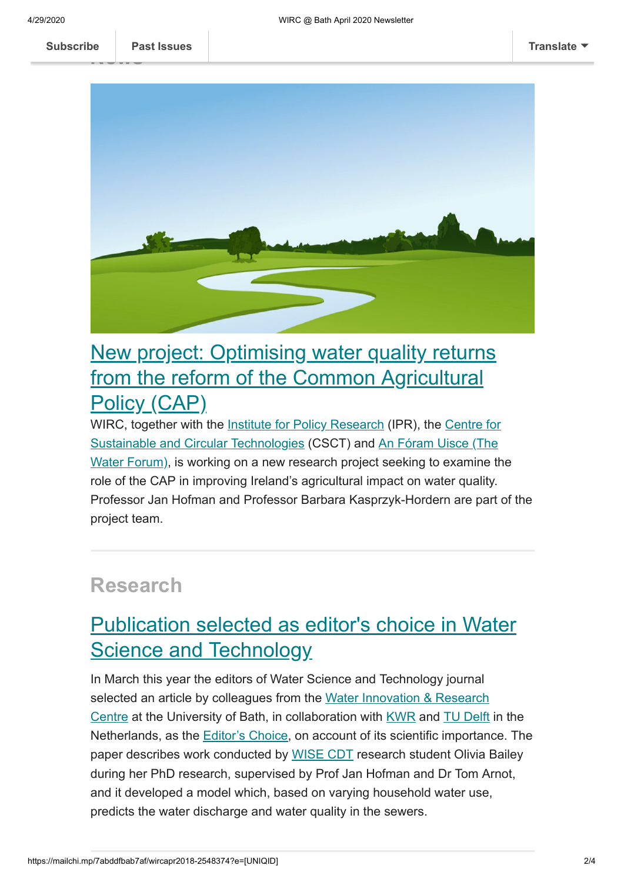**news**<br>-------**[Subscribe](http://eepurl.com/bKjQGL) [Past Issues](https://us12.campaign-archive.com/home/?u=d7614ea34eb388bb6f0caa07a&id=d688d5b543) [Translate](javascript:;)**



# <span id="page-1-0"></span>[New project: Optimising water quality returns](https://www.bath.ac.uk/projects/optimising-water-quality-returns-from-the-reform-of-the-common-agricultural-policy-cap/) from the reform of the Common Agricultural Policy (CAP)

[WIRC, together with the](https://www.csct.ac.uk/) [Institute for Policy Research](https://www.bath.ac.uk/research-institutes/institute-for-policy-research/) [\(IPR\), the Centre for](https://www.csct.ac.uk/) [Sustainable and Circular Technologies \(CSCT\) and An Fóram Uisce \(The](http://nationalwaterforum.ie/) Water Forum), is working on a new research project seeking to examine the role of the CAP in improving Ireland's agricultural impact on water quality. Professor Jan Hofman and Professor Barbara Kasprzyk-Hordern are part of the project team.

#### **Research**

## <span id="page-1-1"></span>[Publication selected as editor's choice in Water](http://blogs.bath.ac.uk/water/2020/04/15/publication-selected-as-editors-choice-in-water-science-and-technology/) **Science and Technology**

In March this year the editors of Water Science and Technology journal selected an article by colleagues from the Water Innovation & Research [Centre at the University of Bath, in collaboration with KWR and TU Delft](https://www.bath.ac.uk/research-centres/water-innovation-and-research-centre-wirc-bath/) in the Netherlands, as the [Editor's Choice,](https://www.iwapublishing.com/news/wst-editors-choice-article-23) on account of its scientific importance. The paper describes work conducted by [WISE CDT](http://wisecdt.org.uk/) research student Olivia Bailey during her PhD research, supervised by Prof Jan Hofman and Dr Tom Arnot, and it developed a model which, based on varying household water use, predicts the water discharge and water quality in the sewers.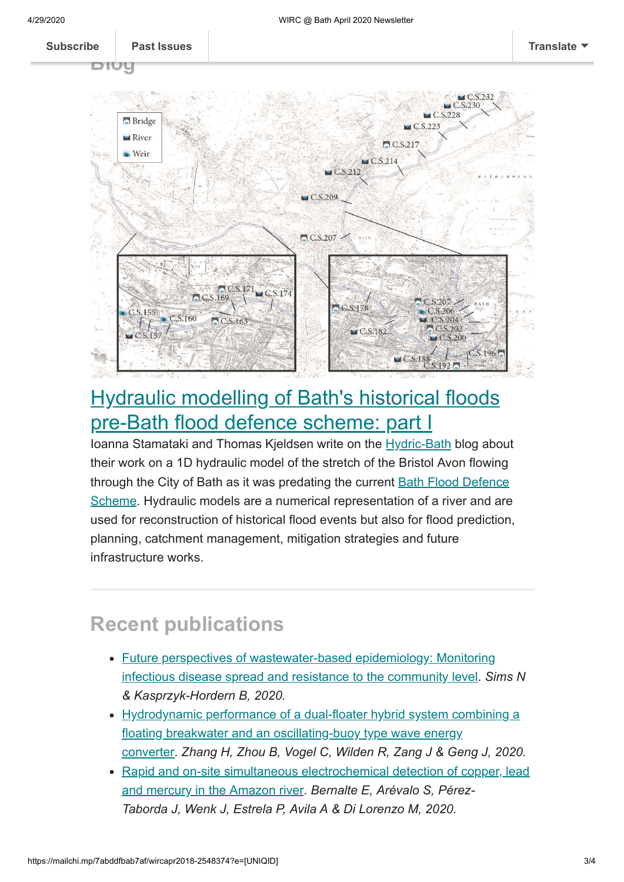$C.S.200$ 

 $\sqcup$  CS 13

 $CS$  196



### <span id="page-2-0"></span>[Hydraulic modelling of Bath's historical floods](https://hydricbath.weebly.com/blog/hydraulic-modelling-of-baths-historical-floods-pre-bath-flood-defence-scheme-part-i) pre-Bath flood defence scheme: part I

Ioanna Stamataki and Thomas Kjeldsen write on the [Hydric-Bath](https://hydricbath.weebly.com/blog#) blog about their work on a 1D hydraulic model of the stretch of the Bristol Avon flowing [through the City of Bath as it was predating the current Bath Flood Defence](https://hydricbath.weebly.com/blog/the-bath-flood-defence-scheme) Scheme. Hydraulic models are a numerical representation of a river and are used for reconstruction of historical flood events but also for flood prediction, planning, catchment management, mitigation strategies and future infrastructure works.

### **Recent publications**

 $CS157$ 

- [Future perspectives of wastewater-based epidemiology: Monitoring](https://doi.org/10.1016/j.envint.2020.105689) infectious disease spread and resistance to the community level. *Sims N & Kasprzyk-Hordern B, 2020.*
- [Hydrodynamic performance of a dual-floater hybrid system combining a](https://doi.org/10.1016/j.apenergy.2019.114212) floating breakwater and an oscillating-buoy type wave energy converter. *Zhang H, Zhou B, Vogel C, Wilden R, Zang J & Geng J, 2020.*
- [Rapid and on-site simultaneous electrochemical detection of copper, lead](https://doi.org/10.1016/j.snb.2019.127620) and mercury in the Amazon river. *Bernalte E, Arévalo S, Pérez-Taborda J, Wenk J, Estrela P, Avila A & Di Lorenzo M, 2020.*